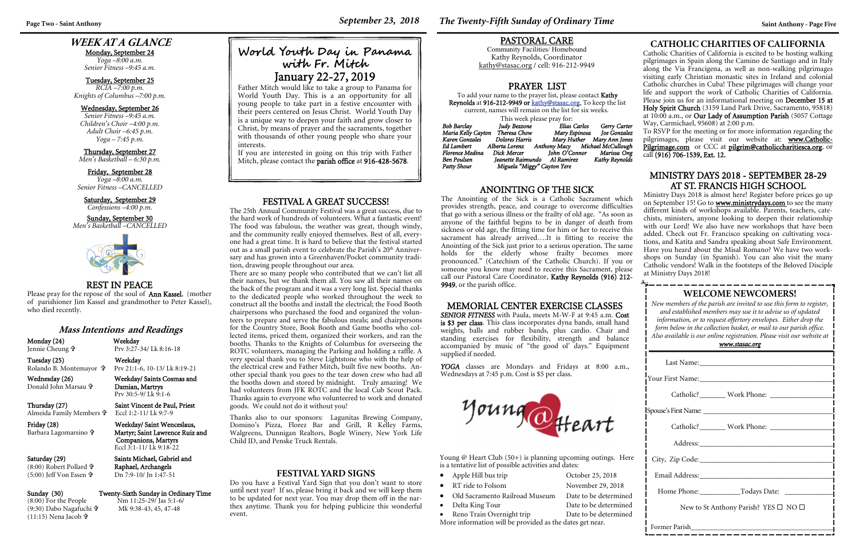# **WEEK AT A GLANCE**

Monday, September 24 *Yoga –8:00 a.m.* 

*Senior Fitness –9:45 a.m.* 

Tuesday, September 25 *RCIA –7:00 p.m. Knights of Columbus –7:00 p.m.* 

#### Wednesday, September 26

| <b>WELCOME NEWCOMERS!</b><br>New members of the parish are invited to use this form to register,<br>and established members may use it to advise us of updated<br>information, or to request offertory envelopes. Either drop the<br>form below in the collection basket, or mail to our parish office.<br>Also available is our online registration. Please visit our website at<br>www.stasac.org |  |  |  |
|-----------------------------------------------------------------------------------------------------------------------------------------------------------------------------------------------------------------------------------------------------------------------------------------------------------------------------------------------------------------------------------------------------|--|--|--|
|                                                                                                                                                                                                                                                                                                                                                                                                     |  |  |  |
|                                                                                                                                                                                                                                                                                                                                                                                                     |  |  |  |
|                                                                                                                                                                                                                                                                                                                                                                                                     |  |  |  |
|                                                                                                                                                                                                                                                                                                                                                                                                     |  |  |  |
| Catholic? ________ Work Phone: _______________                                                                                                                                                                                                                                                                                                                                                      |  |  |  |
|                                                                                                                                                                                                                                                                                                                                                                                                     |  |  |  |
|                                                                                                                                                                                                                                                                                                                                                                                                     |  |  |  |
|                                                                                                                                                                                                                                                                                                                                                                                                     |  |  |  |
| Home Phone: ______________Todays Date: _____                                                                                                                                                                                                                                                                                                                                                        |  |  |  |
| New to St Anthony Parish? YES $\square$ NO $\square$                                                                                                                                                                                                                                                                                                                                                |  |  |  |
|                                                                                                                                                                                                                                                                                                                                                                                                     |  |  |  |

*Senior Fitness –9:45 a.m. Children's Choir –4:00 p.m. Adult Choir –6:45 p.m. Yoga – 7:45 p.m.* 

#### Thursday, September 27

*Men's Basketball – 6:30 p.m.* 

#### Friday, September 28

*Yoga –8:00 a.m. Senior Fitness –CANCELLED* 

#### Saturday, September 29

*Confessions –4:00 p.m.* 

Sunday, September 30 *Men's Basketball –CANCELLED* 



 Damian, Martrys Prv 30:5-9/ Lk 9:1-6

#### REST IN PEACE

To add your name to the prayer list, please contact Kathy Reynolds at 916-212-9949 or kathy@stasac.org. To keep the list current, names will remain on the list for six weeks.

Please pray for the repose of the soul of Ann Kassel, (mother of parishioner Jim Kassel and grandmother to Peter Kassel), who died recently.

#### **Mass Intentions and Readings**

Monday (24) Weekday Jennie Cheung

Tuesday (25) Weekday

 Prv 3:27-34/ Lk 8:16-18 Prv 21:1-6, 10-13/ Lk 8:19-21

Rolando B. Montemayor

Wednesday (26) Weekday/ Saints Cosmas and

Donald John Marsau

Thursday (27) Saint Vincent de Paul, Priest

Almeida Family Members

Eccl 1:2-11/ Lk 9:7-9

Barbara Lagomarsino

Catholic Charities of California is excited to be hosting walking pilgrimages in Spain along the Camino de Santiago and in Italy along the Via Francigena, as well as non-walking pilgrimages visiting early Christian monastic sites in Ireland and colonial Catholic churches in Cuba! These pilgrimages will change your life and support the work of Catholic Charities of California. Please join us for an informational meeting on December 15 at Holy Spirit Church (3159 Land Park Drive, Sacramento, 95818) at 10:00 a.m., or Our Lady of Assumption Parish (5057 Cottage Way, Carmichael, 95608) at 2:00 p.m.

 Martyr; Saint Lawrence Ruiz and Companions, Martyrs Eccl 3:1-11/ Lk 9:18-22

Saturday (29) Saints Michael, Gabriel and Raphael, Archangels

(8:00) Robert Pollard (5:00) Jeff Von Essen

Dn 7:9-10/ Jn 1:47-51

# Sunday (30) Twenty-Sixth Sunday in Ordinary Time (8:00) For the People Mm 11:25-29/Jas 5:1-6/  $Nm$  11:25-29/ Jas 5:1-6/

(9:30) Dabo Nagafuchi (11:15) Nena Jacob

Mk 9:38-43, 45, 47-48

#### MEMORIAL CENTER EXERCISE CLASSES

*SENIOR FITNESS* with Paula, meets M-W-F at 9:45 a.m. Cost is \$3 per class. This class incorporates dyna bands, small hand weights, balls and rubber bands, plus cardio. Chair and standing exercises for flexibility, strength and balance accompanied by music of "the good ol' days." Equipment <sup>s</sup>upplied if needed.

 *YOGA* classes are Mondays and Fridays at 8:00 a.m., Wednesdays at 7:45 p.m. Cost is \$5 per class.



#### PRAYER LIST

| This week please pray for: |                                                |              |                            |  |
|----------------------------|------------------------------------------------|--------------|----------------------------|--|
| <b>Bob Barclay</b>         | Judy Bezzone                                   | Elias Carlos | Gerry Carter               |  |
| Maria Kelly Cayton         | Theresa Chow                                   |              | Mary Espinosa Joe Gonzalez |  |
| Karen Gonzales             | Dolores Harris                                 |              | Mary Huther Mary Ann Jones |  |
| Ed Lambert                 | Alberta Lorenz Anthony Macy Michael McCullough |              |                            |  |
| Florence Medina            | Dick Mercer                                    |              | John O'Connor Marissa Ong  |  |
| Ben Poulsen                | Jeanette Raimundo Al Ramirez                   |              | Kathy Reynolds             |  |
| Patty Shour                | Miguela "Miggy" Cayton Yere                    |              |                            |  |

#### PASTORAL CARE

Community Facilities/ Homebound Kathy Reynolds, Coordinator kathy@stasac.org / cell: 916-212-9949

**World Youth Day in Panama with F r. Mitch**  January 22-27, 2019 Father Mitch would like to take a group to Panama for World Youth Day. This is a an opportunity for all young people to take part in a festive encounter with their peers centered on Jesus Christ. World Youth Day is a unique way to deepen your faith and grow closer to Christ, by means of prayer and the sacraments, together with thousands of other young people who share your

> Young  $\omega$  Heart Club (50+) is planning upcoming outings. Here is a tentative list of possible activities and dates:

- Apple Hill bus trip October 25, 2018
- $\bullet$
- Old Sacramento Railroad Museum Date to be determined
- Delta King Tour
- Reno Train Overnight trip Date to be determined

RT ride to Folsom November 29, 2018 Date to be determined  $\rightarrow$ 

interests.

Friday (28) Weekday/ Saint Wenceslaus,

If you are interested in going on this trip with Father Mitch, please contact the parish office at 916-428-5678.

#### **CATHOLIC CHARITIES OF CALIFORNIA**

To RSVP for the meeting or for more information regarding the pilgrimages, please visit our website at: www.Catholic-Pilgrimage.com or CCC at pilgrim@catholiccharitiesca.org, or call (916) 706-1539, Ext. 12.

# MINISTRY DAYS 2018 - SEPTEMBER 28-29 AT ST. FRANCIS HIGH SCHOOL

Ministry Days 2018 is almost here! Register before prices go up on September 15! Go to **www.ministrydays.com** to see the many different kinds of workshops available. Parents, teachers, catechists, ministers, anyone looking to deepen their relationship with our Lord! We also have new workshops that have been added. Check out Fr. Francisco speaking on cultivating vocations, and Katita and Sandra speaking about Safe Environment. Have you heard about the Misal Romano? We have two workshops on Sunday (in Spanish). You can also visit the many Catholic vendors! Walk in the footsteps of the Beloved Disciple at Ministry Days 2018!

FESTIVAL A GREAT SUCCESS! The 25th Annual Community Festival was a great success, due to the hard work of hundreds of volunteers. What a fantastic event! The food was fabulous, the weather was great, though windy, and the community really enjoyed themselves. Best of all, everyone had a great time. It is hard to believe that the festival started out as a small parish event to celebrate the Parish's 20<sup>th</sup> Anniversary and has grown into a Greenhaven/Pocket community tradi-

tion, drawing people throughout our area.

There are so many people who contributed that we can't list all their names, but we thank them all. You saw all their names on the back of the program and it was a very long list. Special thanks to the dedicated people who worked throughout the week to construct all the booths and install the electrical; the Food Booth chairpersons who purchased the food and organized the volun-

teers to prepare and serve the fabulous meals; and chairpersons for the Country Store, Book Booth and Game booths who collected items, priced them, organized their workers, and ran the booths. Thanks to the Knights of Columbus for overseeing the

ROTC volunteers, managing the Parking and holding a raffle. A very special thank you to Steve Lightstone who with the help of the electrical crew and Father Mitch, built five new booths. Another special thank you goes to the tear down crew who had all the booths down and stored by midnight. Truly amazing! We had volunteers from JFK ROTC and the local Cub Scout Pack. Thanks again to everyone who volunteered to work and donated

goods. We could not do it without you!

#### Thanks also to our sponsors: Lagunitas Brewing Company, Domino's Pizza, Florez Bar and Grill, R Kelley Farms,

#### Walgreens, Dunnigan Realtors, Bogle Winery, New York Life Child ID, and Penske Truck Rentals.

#### **FESTIVAL YARD SIGNS**

Do you have a Festival Yard Sign that you don't want to store until next year? If so, please bring it back and we will keep them to be updated for next year. You may drop them off in the narthex anytime. Thank you for helping publicize this wonderful event.

More information will be provided as the dates get near.

## ANOINTING OF THE SICK

The Anointing of the Sick is a Catholic Sacrament which provides strength, peace, and courage to overcome difficulties that go with a serious illness or the frailty of old age. "As soon as anyone of the faithful begins to be in danger of death from sickness or old age, the fitting time for him or her to receive this sacrament has already arrived….It is fitting to receive the Anointing of the Sick just prior to a serious operation. The same holds for the elderly whose frailty becomes more pronounced." (Catechism of the Catholic Church). If you or someone you know may need to receive this Sacrament, please call our Pastoral Care Coordinator, Kathy Reynolds (916) 212- 9949, or the parish office.